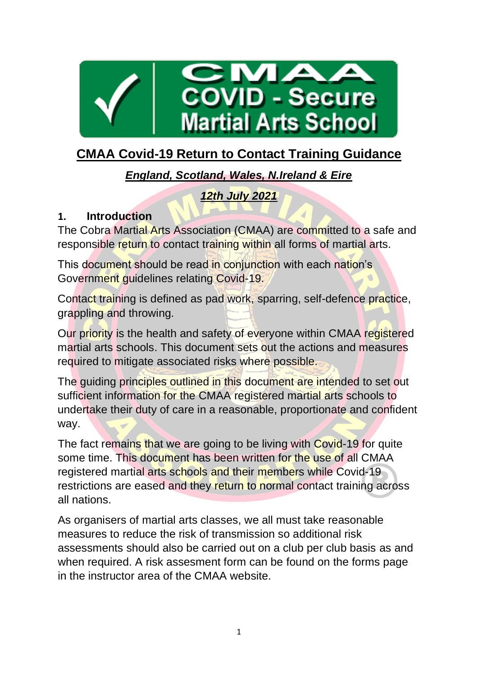

# **CMAA Covid-19 Return to Contact Training Guidance**

# *England, Scotland, Wales, N.Ireland & Eire*

*12th July 2021*

#### **1. Introduction**

The Cobra Martial Arts Association (CMAA) are committed to a safe and responsible return to contact training within all forms of martial arts.

This document should be read in conjunction with each nation's Government guidelines relating [Covid-19.](https://www.gov.uk/coronavirus)

Contact training is defined as pad work, sparring, self-defence practice, grappling and throwing.

Our priority is the health and safety of everyone within CMAA registered martial arts schools. This document sets out the actions and measures required to mitigate associated risks where possible.

The quiding principles outlined in this document are intended to set out sufficient information for the CMAA registered martial arts schools to undertake their duty of care in a reasonable, proportionate and confident way.

The fact remains that we are going to be living with Covid-19 for quite some time. This document has been written for the use of all CMAA registered martial arts schools and their members while Covid-19 restrictions are eased and they return to normal contact training across all nations.

As organisers of martial arts classes, we all must take reasonable measures to reduce the risk of transmission so additional risk assessments should also be carried out on a club per club basis as and when required. A risk assesment form can be found on the forms page in the instructor area of the CMAA website.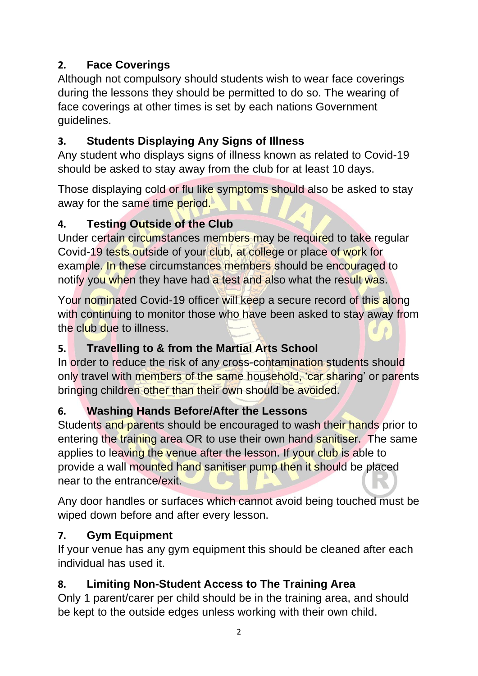# **2. Face Coverings**

Although not compulsory should students wish to wear face coverings during the lessons they should be permitted to do so. The wearing of face coverings at other times is set by each nations Government guidelines.

### **3. Students Displaying Any Signs of Illness**

Any student who displays signs of illness known as related to Covid-19 should be asked to stay away from the club for at least 10 days.

Those displaying cold or flu like symptoms should also be asked to stay away for the same time period.

### **4. Testing Outside of the Club**

Under certain circumstances members may be required to take regular Covid-19 tests outside of your club, at college or place of work for example. In these circumstances members should be encouraged to notify you when they have had a test and also what the result was.

Your nominated Covid-19 officer will keep a secure record of this along with continuing to monitor those who have been asked to stay away from the club due to illness.

# **5. Travelling to & from the Martial Arts School**

In order to reduce the risk of any cross-contamination students should only travel with members of the same household, 'car sharing' or parents bringing children other than their own should be avoided.

# **6. Washing Hands Before/After the Lessons**

Students and parents should be encouraged to wash their hands prior to entering the training area OR to use their own hand sanitiser. The same applies to leaving the venue after the lesson. If your club is able to provide a wall mounted hand sanitiser pump then it should be placed near to the entrance/exit.

Any door handles or surfaces which cannot avoid being touched must be wiped down before and after every lesson.

# **7. Gym Equipment**

If your venue has any gym equipment this should be cleaned after each individual has used it.

# **8. Limiting Non-Student Access to The Training Area**

Only 1 parent/carer per child should be in the training area, and should be kept to the outside edges unless working with their own child.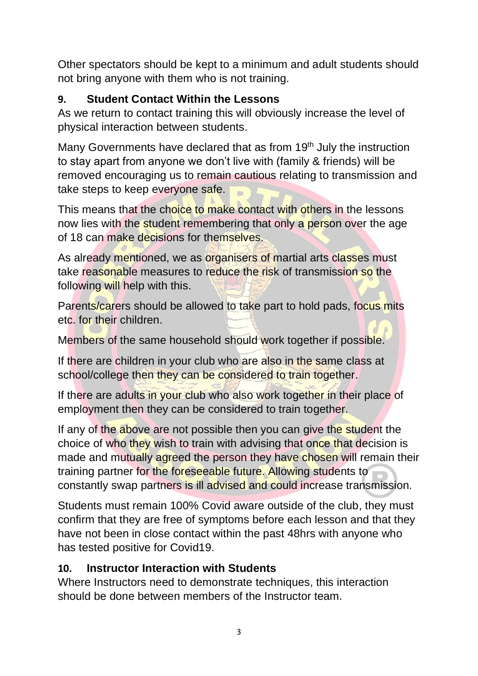Other spectators should be kept to a minimum and adult students should not bring anyone with them who is not training.

#### **9. Student Contact Within the Lessons**

As we return to contact training this will obviously increase the level of physical interaction between students.

Many Governments have declared that as from 19<sup>th</sup> July the instruction to stay apart from anyone we don't live with (family & friends) will be removed encouraging us to remain cautious relating to transmission and take steps to keep everyone safe.

This means that the choice to make contact with others in the lessons now lies with the student remembering that only a person over the age of 18 can make decisions for themselves.

As already mentioned, we as organisers of martial arts classes must take reasonable measures to reduce the risk of transmission so the following will help with this.

Parents/carers should be allowed to take part to hold pads, focus mits etc. for their children.

Members of the same household should work together if possible.

If there are children in your club who are also in the same class at school/college then they can be considered to train together.

If there are adults in your club who also work together in their place of employment then they can be considered to train together.

If any of the above are not possible then you can give the student the choice of who they wish to train with advising that once that decision is made and mutually agreed the person they have chosen will remain their training partner for the foreseeable future. Allowing students to constantly swap partners is ill advised and could increase transmission.

Students must remain 100% Covid aware outside of the club, they must confirm that they are free of symptoms before each lesson and that they have not been in close contact within the past 48hrs with anyone who has tested positive for Covid19.

#### **10. Instructor Interaction with Students**

Where Instructors need to demonstrate techniques, this interaction should be done between members of the Instructor team.